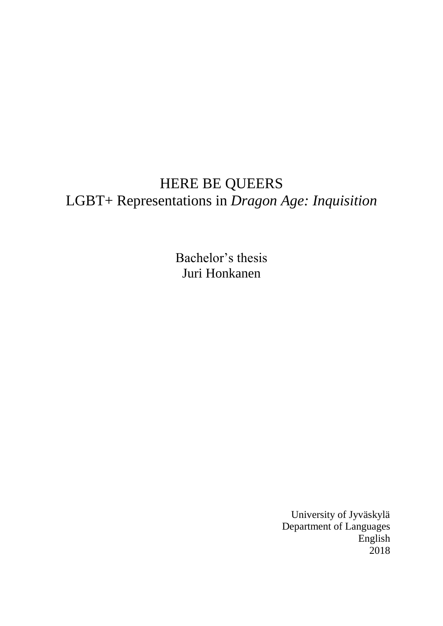# HERE BE QUEERS LGBT+ Representations in *Dragon Age: Inquisition*

Bachelor's thesis Juri Honkanen

> University of Jyväskylä Department of Languages English 2018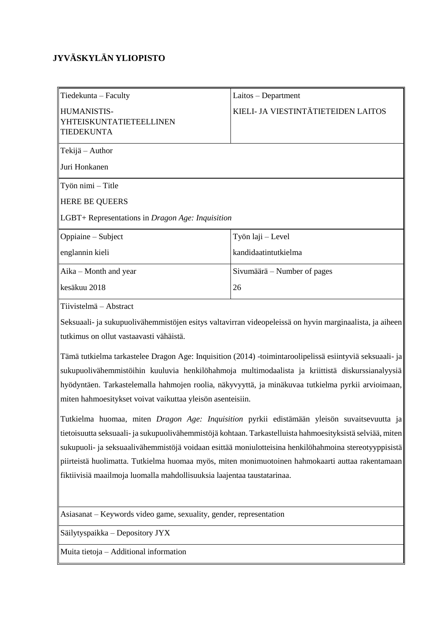# **JYVÄSKYLÄN YLIOPISTO**

| Tiedekunta - Faculty                                        | $Laitos - Department$               |  |
|-------------------------------------------------------------|-------------------------------------|--|
| HUMANISTIS-<br>YHTEISKUNTATIETEELLINEN<br><b>TIEDEKUNTA</b> | KIELI- JA VIESTINTÄTIETEIDEN LAITOS |  |
| Tekijä – Author                                             |                                     |  |
| Juri Honkanen                                               |                                     |  |
| Työn nimi – Title                                           |                                     |  |
| <b>HERE BE QUEERS</b>                                       |                                     |  |
| LGBT+ Representations in Dragon Age: Inquisition            |                                     |  |
| Oppiaine – Subject                                          | Työn laji - Level                   |  |
| englannin kieli                                             | kandidaatintutkielma                |  |
| Aika – Month and year                                       | Sivumäärä – Number of pages         |  |
| kesäkuu 2018                                                | 26                                  |  |
| Tiivistelmä – Abstract                                      |                                     |  |

Seksuaali- ja sukupuolivähemmistöjen esitys valtavirran videopeleissä on hyvin marginaalista, ja aiheen tutkimus on ollut vastaavasti vähäistä.

Tämä tutkielma tarkastelee Dragon Age: Inquisition (2014) -toimintaroolipelissä esiintyviä seksuaali- ja sukupuolivähemmistöihin kuuluvia henkilöhahmoja multimodaalista ja kriittistä diskurssianalyysiä hyödyntäen. Tarkastelemalla hahmojen roolia, näkyvyyttä, ja minäkuvaa tutkielma pyrkii arvioimaan, miten hahmoesitykset voivat vaikuttaa yleisön asenteisiin.

Tutkielma huomaa, miten *Dragon Age: Inquisition* pyrkii edistämään yleisön suvaitsevuutta ja tietoisuutta seksuaali- ja sukupuolivähemmistöjä kohtaan. Tarkastelluista hahmoesityksistä selviää, miten sukupuoli- ja seksuaalivähemmistöjä voidaan esittää moniulotteisina henkilöhahmoina stereotyyppisistä piirteistä huolimatta. Tutkielma huomaa myös, miten monimuotoinen hahmokaarti auttaa rakentamaan fiktiivisiä maailmoja luomalla mahdollisuuksia laajentaa taustatarinaa.

Asiasanat – Keywords video game, sexuality, gender, representation

Säilytyspaikka – Depository JYX

Muita tietoja – Additional information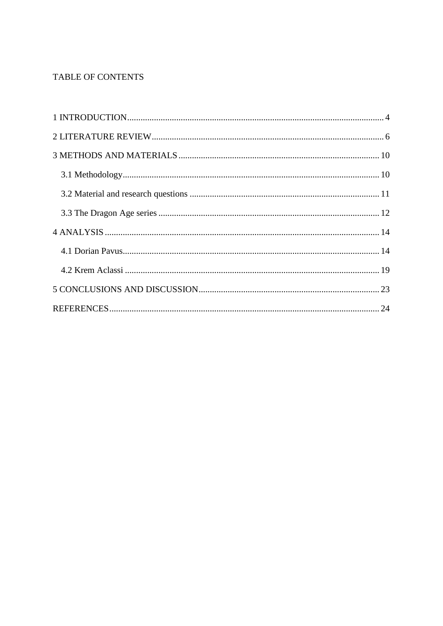# TABLE OF CONTENTS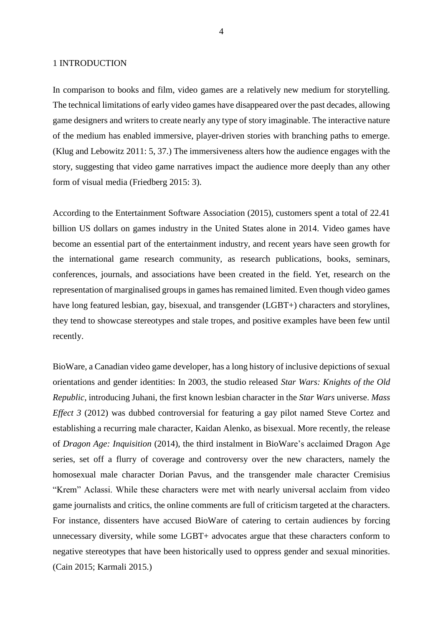## 1 INTRODUCTION

In comparison to books and film, video games are a relatively new medium for storytelling. The technical limitations of early video games have disappeared over the past decades, allowing game designers and writers to create nearly any type of story imaginable. The interactive nature of the medium has enabled immersive, player-driven stories with branching paths to emerge. (Klug and Lebowitz 2011: 5, 37.) The immersiveness alters how the audience engages with the story, suggesting that video game narratives impact the audience more deeply than any other form of visual media (Friedberg 2015: 3).

According to the Entertainment Software Association (2015), customers spent a total of 22.41 billion US dollars on games industry in the United States alone in 2014. Video games have become an essential part of the entertainment industry, and recent years have seen growth for the international game research community, as research publications, books, seminars, conferences, journals, and associations have been created in the field. Yet, research on the representation of marginalised groups in games has remained limited. Even though video games have long featured lesbian, gay, bisexual, and transgender (LGBT+) characters and storylines, they tend to showcase stereotypes and stale tropes, and positive examples have been few until recently.

BioWare, a Canadian video game developer, has a long history of inclusive depictions of sexual orientations and gender identities: In 2003, the studio released *Star Wars: Knights of the Old Republic*, introducing Juhani, the first known lesbian character in the *Star Wars* universe. *Mass Effect 3* (2012) was dubbed controversial for featuring a gay pilot named Steve Cortez and establishing a recurring male character, Kaidan Alenko, as bisexual. More recently, the release of *Dragon Age: Inquisition* (2014), the third instalment in BioWare's acclaimed Dragon Age series, set off a flurry of coverage and controversy over the new characters, namely the homosexual male character Dorian Pavus, and the transgender male character Cremisius "Krem" Aclassi. While these characters were met with nearly universal acclaim from video game journalists and critics, the online comments are full of criticism targeted at the characters. For instance, dissenters have accused BioWare of catering to certain audiences by forcing unnecessary diversity, while some LGBT+ advocates argue that these characters conform to negative stereotypes that have been historically used to oppress gender and sexual minorities. (Cain 2015; Karmali 2015.)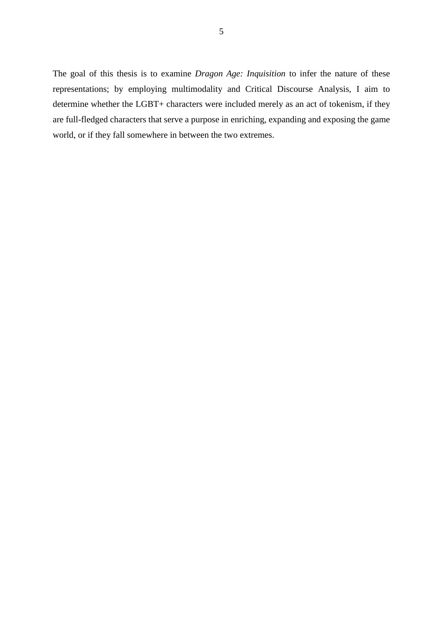The goal of this thesis is to examine *Dragon Age: Inquisition* to infer the nature of these representations; by employing multimodality and Critical Discourse Analysis, I aim to determine whether the LGBT+ characters were included merely as an act of tokenism, if they are full-fledged characters that serve a purpose in enriching, expanding and exposing the game world, or if they fall somewhere in between the two extremes.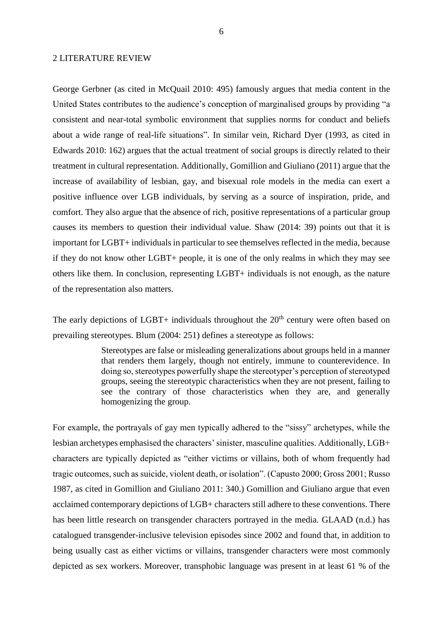#### 2 LITERATURE REVIEW

George Gerbner (as cited in McQuail 2010: 495) famously argues that media content in the United States contributes to the audience's conception of marginalised groups by providing "a consistent and near-total symbolic environment that supplies norms for conduct and beliefs about a wide range of real-life situations". In similar vein, Richard Dyer (1993, as cited in Edwards 2010: 162) argues that the actual treatment of social groups is directly related to their treatment in cultural representation. Additionally, Gomillion and Giuliano (2011) argue that the increase of availability of lesbian, gay, and bisexual role models in the media can exert a positive influence over LGB individuals, by serving as a source of inspiration, pride, and comfort. They also argue that the absence of rich, positive representations of a particular group causes its members to question their individual value. Shaw (2014: 39) points out that it is important for LGBT+ individuals in particular to see themselves reflected in the media, because if they do not know other LGBT+ people, it is one of the only realms in which they may see others like them. In conclusion, representing LGBT+ individuals is not enough, as the nature of the representation also matters.

The early depictions of LGBT+ individuals throughout the  $20<sup>th</sup>$  century were often based on prevailing stereotypes. Blum (2004: 251) defines a stereotype as follows:

> Stereotypes are false or misleading generalizations about groups held in a manner that renders them largely, though not entirely, immune to counterevidence. In doing so, stereotypes powerfully shape the stereotyper's perception of stereotyped groups, seeing the stereotypic characteristics when they are not present, failing to see the contrary of those characteristics when they are, and generally homogenizing the group.

For example, the portrayals of gay men typically adhered to the "sissy" archetypes, while the lesbian archetypes emphasised the characters' sinister, masculine qualities. Additionally, LGB+ characters are typically depicted as "either victims or villains, both of whom frequently had tragic outcomes, such as suicide, violent death, or isolation". (Capusto 2000; Gross 2001; Russo 1987, as cited in Gomillion and Giuliano 2011: 340.) Gomillion and Giuliano argue that even acclaimed contemporary depictions of LGB+ characters still adhere to these conventions. There has been little research on transgender characters portrayed in the media. GLAAD (n.d.) has catalogued transgender-inclusive television episodes since 2002 and found that, in addition to being usually cast as either victims or villains, transgender characters were most commonly depicted as sex workers. Moreover, transphobic language was present in at least 61 % of the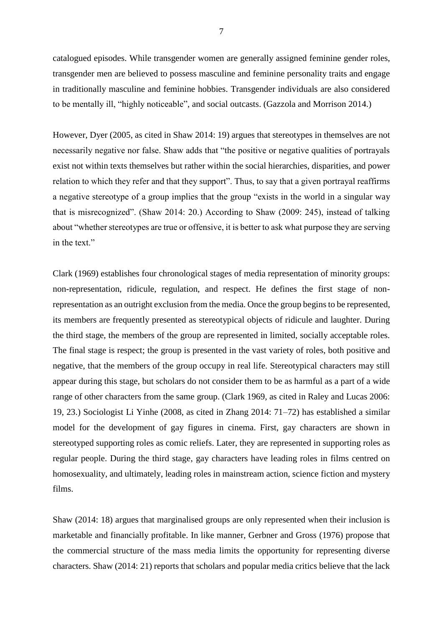catalogued episodes. While transgender women are generally assigned feminine gender roles, transgender men are believed to possess masculine and feminine personality traits and engage in traditionally masculine and feminine hobbies. Transgender individuals are also considered to be mentally ill, "highly noticeable", and social outcasts. (Gazzola and Morrison 2014.)

However, Dyer (2005, as cited in Shaw 2014: 19) argues that stereotypes in themselves are not necessarily negative nor false. Shaw adds that "the positive or negative qualities of portrayals exist not within texts themselves but rather within the social hierarchies, disparities, and power relation to which they refer and that they support". Thus, to say that a given portrayal reaffirms a negative stereotype of a group implies that the group "exists in the world in a singular way that is misrecognized". (Shaw 2014: 20.) According to Shaw (2009: 245), instead of talking about "whether stereotypes are true or offensive, it is better to ask what purpose they are serving in the text."

Clark (1969) establishes four chronological stages of media representation of minority groups: non-representation, ridicule, regulation, and respect. He defines the first stage of nonrepresentation as an outright exclusion from the media. Once the group begins to be represented, its members are frequently presented as stereotypical objects of ridicule and laughter. During the third stage, the members of the group are represented in limited, socially acceptable roles. The final stage is respect; the group is presented in the vast variety of roles, both positive and negative, that the members of the group occupy in real life. Stereotypical characters may still appear during this stage, but scholars do not consider them to be as harmful as a part of a wide range of other characters from the same group. (Clark 1969, as cited in Raley and Lucas 2006: 19, 23.) Sociologist Li Yinhe (2008, as cited in Zhang 2014: 71–72) has established a similar model for the development of gay figures in cinema. First, gay characters are shown in stereotyped supporting roles as comic reliefs. Later, they are represented in supporting roles as regular people. During the third stage, gay characters have leading roles in films centred on homosexuality, and ultimately, leading roles in mainstream action, science fiction and mystery films.

Shaw (2014: 18) argues that marginalised groups are only represented when their inclusion is marketable and financially profitable. In like manner, Gerbner and Gross (1976) propose that the commercial structure of the mass media limits the opportunity for representing diverse characters. Shaw (2014: 21) reports that scholars and popular media critics believe that the lack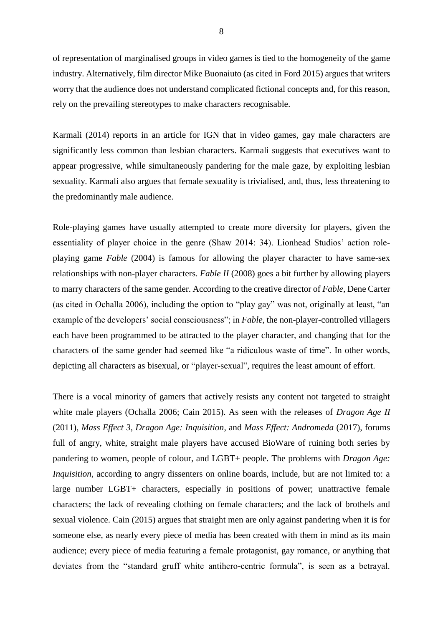of representation of marginalised groups in video games is tied to the homogeneity of the game industry. Alternatively, film director Mike Buonaiuto (as cited in Ford 2015) argues that writers worry that the audience does not understand complicated fictional concepts and, for this reason, rely on the prevailing stereotypes to make characters recognisable.

Karmali (2014) reports in an article for IGN that in video games, gay male characters are significantly less common than lesbian characters. Karmali suggests that executives want to appear progressive, while simultaneously pandering for the male gaze, by exploiting lesbian sexuality. Karmali also argues that female sexuality is trivialised, and, thus, less threatening to the predominantly male audience.

Role-playing games have usually attempted to create more diversity for players, given the essentiality of player choice in the genre (Shaw 2014: 34). Lionhead Studios' action roleplaying game *Fable* (2004) is famous for allowing the player character to have same-sex relationships with non-player characters. *Fable II* (2008) goes a bit further by allowing players to marry characters of the same gender. According to the creative director of *Fable*, Dene Carter (as cited in Ochalla 2006), including the option to "play gay" was not, originally at least, "an example of the developers' social consciousness"; in *Fable*, the non-player-controlled villagers each have been programmed to be attracted to the player character, and changing that for the characters of the same gender had seemed like "a ridiculous waste of time". In other words, depicting all characters as bisexual, or "player-sexual", requires the least amount of effort.

There is a vocal minority of gamers that actively resists any content not targeted to straight white male players (Ochalla 2006; Cain 2015). As seen with the releases of *Dragon Age II* (2011), *Mass Effect 3*, *Dragon Age: Inquisition*, and *Mass Effect: Andromeda* (2017), forums full of angry, white, straight male players have accused BioWare of ruining both series by pandering to women, people of colour, and LGBT+ people. The problems with *Dragon Age: Inquisition*, according to angry dissenters on online boards, include, but are not limited to: a large number LGBT+ characters, especially in positions of power; unattractive female characters; the lack of revealing clothing on female characters; and the lack of brothels and sexual violence. Cain (2015) argues that straight men are only against pandering when it is for someone else, as nearly every piece of media has been created with them in mind as its main audience; every piece of media featuring a female protagonist, gay romance, or anything that deviates from the "standard gruff white antihero-centric formula", is seen as a betrayal.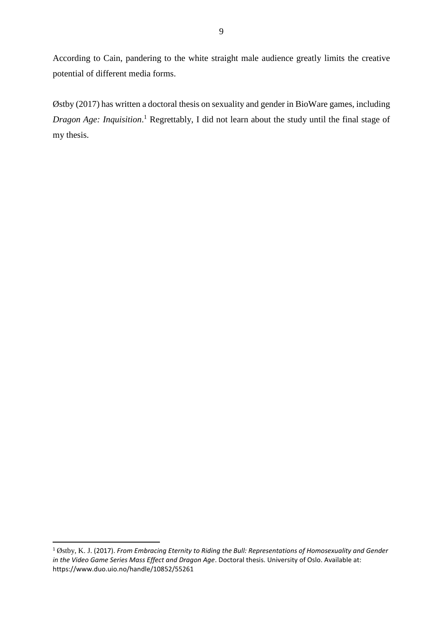According to Cain, pandering to the white straight male audience greatly limits the creative potential of different media forms.

Østby (2017) has written a doctoral thesis on sexuality and gender in BioWare games, including Dragon Age: Inquisition.<sup>1</sup> Regrettably, I did not learn about the study until the final stage of my thesis.

 $\overline{\phantom{a}}$ 

<sup>1</sup> Østby, K. J. (2017). *From Embracing Eternity to Riding the Bull: Representations of Homosexuality and Gender in the Video Game Series Mass Effect and Dragon Age*. Doctoral thesis. University of Oslo. Available at: https://www.duo.uio.no/handle/10852/55261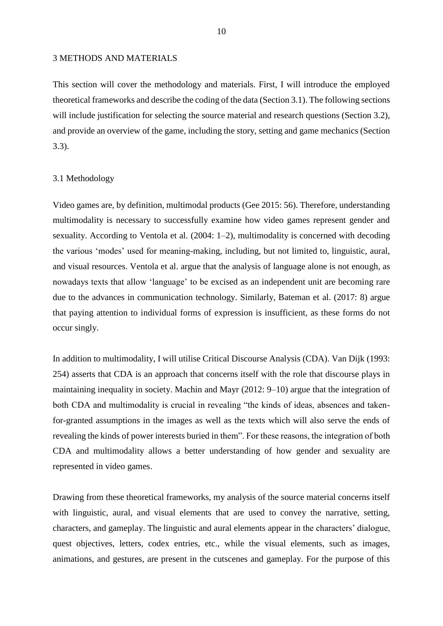#### 3 METHODS AND MATERIALS

This section will cover the methodology and materials. First, I will introduce the employed theoretical frameworks and describe the coding of the data (Section 3.1). The following sections will include justification for selecting the source material and research questions (Section 3.2), and provide an overview of the game, including the story, setting and game mechanics (Section 3.3).

# 3.1 Methodology

Video games are, by definition, multimodal products (Gee 2015: 56). Therefore, understanding multimodality is necessary to successfully examine how video games represent gender and sexuality. According to Ventola et al. (2004: 1–2), multimodality is concerned with decoding the various 'modes' used for meaning-making, including, but not limited to, linguistic, aural, and visual resources. Ventola et al. argue that the analysis of language alone is not enough, as nowadays texts that allow 'language' to be excised as an independent unit are becoming rare due to the advances in communication technology. Similarly, Bateman et al. (2017: 8) argue that paying attention to individual forms of expression is insufficient, as these forms do not occur singly.

In addition to multimodality, I will utilise Critical Discourse Analysis (CDA). Van Dijk (1993: 254) asserts that CDA is an approach that concerns itself with the role that discourse plays in maintaining inequality in society. Machin and Mayr (2012: 9–10) argue that the integration of both CDA and multimodality is crucial in revealing "the kinds of ideas, absences and takenfor-granted assumptions in the images as well as the texts which will also serve the ends of revealing the kinds of power interests buried in them". For these reasons, the integration of both CDA and multimodality allows a better understanding of how gender and sexuality are represented in video games.

Drawing from these theoretical frameworks, my analysis of the source material concerns itself with linguistic, aural, and visual elements that are used to convey the narrative, setting, characters, and gameplay. The linguistic and aural elements appear in the characters' dialogue, quest objectives, letters, codex entries, etc., while the visual elements, such as images, animations, and gestures, are present in the cutscenes and gameplay. For the purpose of this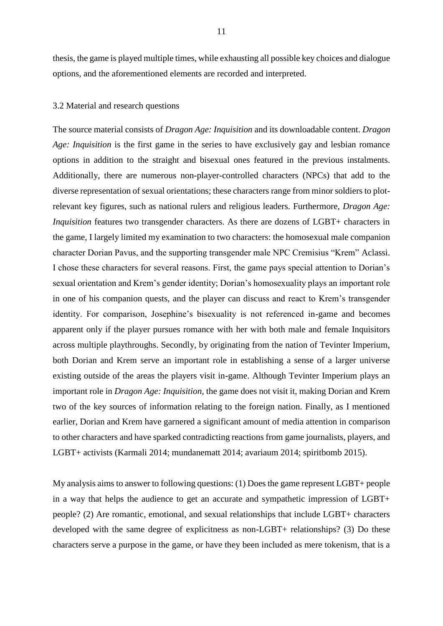thesis, the game is played multiple times, while exhausting all possible key choices and dialogue options, and the aforementioned elements are recorded and interpreted.

# 3.2 Material and research questions

The source material consists of *Dragon Age: Inquisition* and its downloadable content. *Dragon Age: Inquisition* is the first game in the series to have exclusively gay and lesbian romance options in addition to the straight and bisexual ones featured in the previous instalments. Additionally, there are numerous non-player-controlled characters (NPCs) that add to the diverse representation of sexual orientations; these characters range from minor soldiers to plotrelevant key figures, such as national rulers and religious leaders. Furthermore, *Dragon Age: Inquisition* features two transgender characters. As there are dozens of LGBT+ characters in the game, I largely limited my examination to two characters: the homosexual male companion character Dorian Pavus, and the supporting transgender male NPC Cremisius "Krem" Aclassi. I chose these characters for several reasons. First, the game pays special attention to Dorian's sexual orientation and Krem's gender identity; Dorian's homosexuality plays an important role in one of his companion quests, and the player can discuss and react to Krem's transgender identity. For comparison, Josephine's bisexuality is not referenced in-game and becomes apparent only if the player pursues romance with her with both male and female Inquisitors across multiple playthroughs. Secondly, by originating from the nation of Tevinter Imperium, both Dorian and Krem serve an important role in establishing a sense of a larger universe existing outside of the areas the players visit in-game. Although Tevinter Imperium plays an important role in *Dragon Age: Inquisition*, the game does not visit it, making Dorian and Krem two of the key sources of information relating to the foreign nation. Finally, as I mentioned earlier, Dorian and Krem have garnered a significant amount of media attention in comparison to other characters and have sparked contradicting reactions from game journalists, players, and LGBT+ activists (Karmali 2014; mundanematt 2014; avariaum 2014; spiritbomb 2015).

My analysis aims to answer to following questions: (1) Does the game represent LGBT+ people in a way that helps the audience to get an accurate and sympathetic impression of LGBT+ people? (2) Are romantic, emotional, and sexual relationships that include LGBT+ characters developed with the same degree of explicitness as non-LGBT+ relationships? (3) Do these characters serve a purpose in the game, or have they been included as mere tokenism, that is a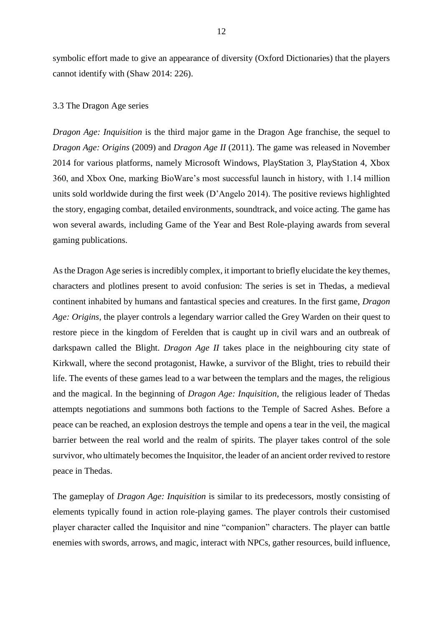symbolic effort made to give an appearance of diversity (Oxford Dictionaries) that the players cannot identify with (Shaw 2014: 226).

# 3.3 The Dragon Age series

*Dragon Age: Inquisition* is the third major game in the Dragon Age franchise, the sequel to *Dragon Age: Origins* (2009) and *Dragon Age II* (2011). The game was released in November 2014 for various platforms, namely Microsoft Windows, PlayStation 3, PlayStation 4, Xbox 360, and Xbox One, marking BioWare's most successful launch in history, with 1.14 million units sold worldwide during the first week (D'Angelo 2014). The positive reviews highlighted the story, engaging combat, detailed environments, soundtrack, and voice acting. The game has won several awards, including Game of the Year and Best Role-playing awards from several gaming publications.

As the Dragon Age series is incredibly complex, it important to briefly elucidate the key themes, characters and plotlines present to avoid confusion: The series is set in Thedas, a medieval continent inhabited by humans and fantastical species and creatures. In the first game, *Dragon Age: Origins*, the player controls a legendary warrior called the Grey Warden on their quest to restore piece in the kingdom of Ferelden that is caught up in civil wars and an outbreak of darkspawn called the Blight. *Dragon Age II* takes place in the neighbouring city state of Kirkwall, where the second protagonist, Hawke, a survivor of the Blight, tries to rebuild their life. The events of these games lead to a war between the templars and the mages, the religious and the magical. In the beginning of *Dragon Age: Inquisition*, the religious leader of Thedas attempts negotiations and summons both factions to the Temple of Sacred Ashes. Before a peace can be reached, an explosion destroys the temple and opens a tear in the veil, the magical barrier between the real world and the realm of spirits. The player takes control of the sole survivor, who ultimately becomes the Inquisitor, the leader of an ancient order revived to restore peace in Thedas.

The gameplay of *Dragon Age: Inquisition* is similar to its predecessors, mostly consisting of elements typically found in action role-playing games. The player controls their customised player character called the Inquisitor and nine "companion" characters. The player can battle enemies with swords, arrows, and magic, interact with NPCs, gather resources, build influence,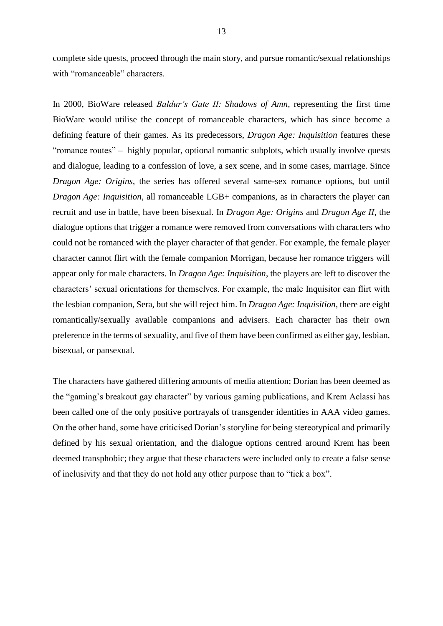complete side quests, proceed through the main story, and pursue romantic/sexual relationships with "romanceable" characters.

In 2000, BioWare released *Baldur's Gate II: Shadows of Amn*, representing the first time BioWare would utilise the concept of romanceable characters, which has since become a defining feature of their games. As its predecessors, *Dragon Age: Inquisition* features these "romance routes" – highly popular, optional romantic subplots, which usually involve quests and dialogue, leading to a confession of love, a sex scene, and in some cases, marriage. Since *Dragon Age: Origins*, the series has offered several same-sex romance options, but until *Dragon Age: Inquisition*, all romanceable LGB+ companions, as in characters the player can recruit and use in battle, have been bisexual. In *Dragon Age: Origins* and *Dragon Age II*, the dialogue options that trigger a romance were removed from conversations with characters who could not be romanced with the player character of that gender. For example, the female player character cannot flirt with the female companion Morrigan, because her romance triggers will appear only for male characters. In *Dragon Age: Inquisition*, the players are left to discover the characters' sexual orientations for themselves. For example, the male Inquisitor can flirt with the lesbian companion, Sera, but she will reject him. In *Dragon Age: Inquisition*, there are eight romantically/sexually available companions and advisers. Each character has their own preference in the terms of sexuality, and five of them have been confirmed as either gay, lesbian, bisexual, or pansexual.

The characters have gathered differing amounts of media attention; Dorian has been deemed as the "gaming's breakout gay character" by various gaming publications, and Krem Aclassi has been called one of the only positive portrayals of transgender identities in AAA video games. On the other hand, some have criticised Dorian's storyline for being stereotypical and primarily defined by his sexual orientation, and the dialogue options centred around Krem has been deemed transphobic; they argue that these characters were included only to create a false sense of inclusivity and that they do not hold any other purpose than to "tick a box".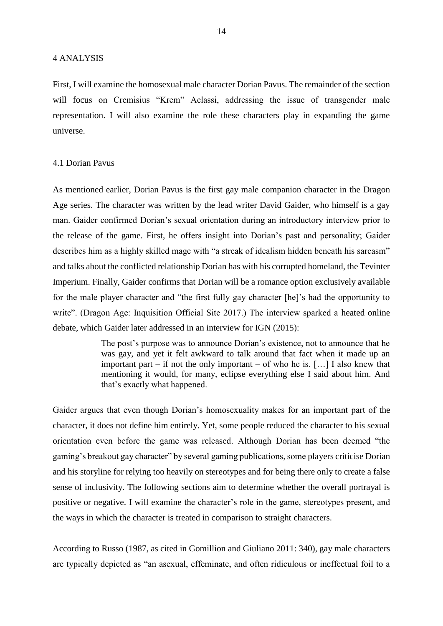First, I will examine the homosexual male character Dorian Pavus. The remainder of the section will focus on Cremisius "Krem" Aclassi, addressing the issue of transgender male representation. I will also examine the role these characters play in expanding the game universe.

#### 4.1 Dorian Pavus

As mentioned earlier, Dorian Pavus is the first gay male companion character in the Dragon Age series. The character was written by the lead writer David Gaider, who himself is a gay man. Gaider confirmed Dorian's sexual orientation during an introductory interview prior to the release of the game. First, he offers insight into Dorian's past and personality; Gaider describes him as a highly skilled mage with "a streak of idealism hidden beneath his sarcasm" and talks about the conflicted relationship Dorian has with his corrupted homeland, the Tevinter Imperium. Finally, Gaider confirms that Dorian will be a romance option exclusively available for the male player character and "the first fully gay character [he]'s had the opportunity to write". (Dragon Age: Inquisition Official Site 2017.) The interview sparked a heated online debate, which Gaider later addressed in an interview for IGN (2015):

> The post's purpose was to announce Dorian's existence, not to announce that he was gay, and yet it felt awkward to talk around that fact when it made up an important part – if not the only important – of who he is. […] I also knew that mentioning it would, for many, eclipse everything else I said about him. And that's exactly what happened.

Gaider argues that even though Dorian's homosexuality makes for an important part of the character, it does not define him entirely. Yet, some people reduced the character to his sexual orientation even before the game was released. Although Dorian has been deemed "the gaming's breakout gay character" by several gaming publications, some players criticise Dorian and his storyline for relying too heavily on stereotypes and for being there only to create a false sense of inclusivity. The following sections aim to determine whether the overall portrayal is positive or negative. I will examine the character's role in the game, stereotypes present, and the ways in which the character is treated in comparison to straight characters.

According to Russo (1987, as cited in Gomillion and Giuliano 2011: 340), gay male characters are typically depicted as "an asexual, effeminate, and often ridiculous or ineffectual foil to a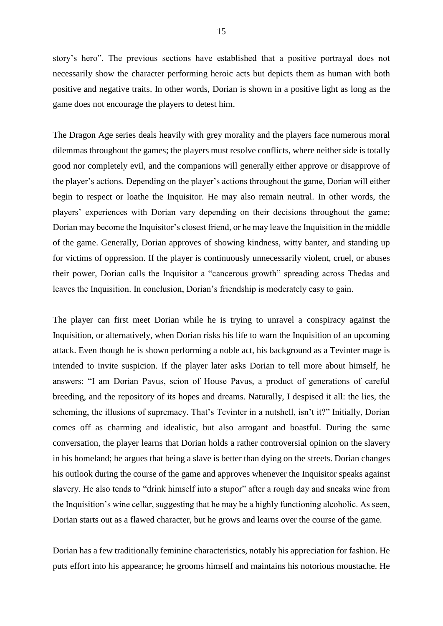story's hero". The previous sections have established that a positive portrayal does not necessarily show the character performing heroic acts but depicts them as human with both positive and negative traits. In other words, Dorian is shown in a positive light as long as the game does not encourage the players to detest him.

The Dragon Age series deals heavily with grey morality and the players face numerous moral dilemmas throughout the games; the players must resolve conflicts, where neither side is totally good nor completely evil, and the companions will generally either approve or disapprove of the player's actions. Depending on the player's actions throughout the game, Dorian will either begin to respect or loathe the Inquisitor. He may also remain neutral. In other words, the players' experiences with Dorian vary depending on their decisions throughout the game; Dorian may become the Inquisitor's closest friend, or he may leave the Inquisition in the middle of the game. Generally, Dorian approves of showing kindness, witty banter, and standing up for victims of oppression. If the player is continuously unnecessarily violent, cruel, or abuses their power, Dorian calls the Inquisitor a "cancerous growth" spreading across Thedas and leaves the Inquisition. In conclusion, Dorian's friendship is moderately easy to gain.

The player can first meet Dorian while he is trying to unravel a conspiracy against the Inquisition, or alternatively, when Dorian risks his life to warn the Inquisition of an upcoming attack. Even though he is shown performing a noble act, his background as a Tevinter mage is intended to invite suspicion. If the player later asks Dorian to tell more about himself, he answers: "I am Dorian Pavus, scion of House Pavus, a product of generations of careful breeding, and the repository of its hopes and dreams. Naturally, I despised it all: the lies, the scheming, the illusions of supremacy. That's Tevinter in a nutshell, isn't it?" Initially, Dorian comes off as charming and idealistic, but also arrogant and boastful. During the same conversation, the player learns that Dorian holds a rather controversial opinion on the slavery in his homeland; he argues that being a slave is better than dying on the streets. Dorian changes his outlook during the course of the game and approves whenever the Inquisitor speaks against slavery. He also tends to "drink himself into a stupor" after a rough day and sneaks wine from the Inquisition's wine cellar, suggesting that he may be a highly functioning alcoholic. As seen, Dorian starts out as a flawed character, but he grows and learns over the course of the game.

Dorian has a few traditionally feminine characteristics, notably his appreciation for fashion. He puts effort into his appearance; he grooms himself and maintains his notorious moustache. He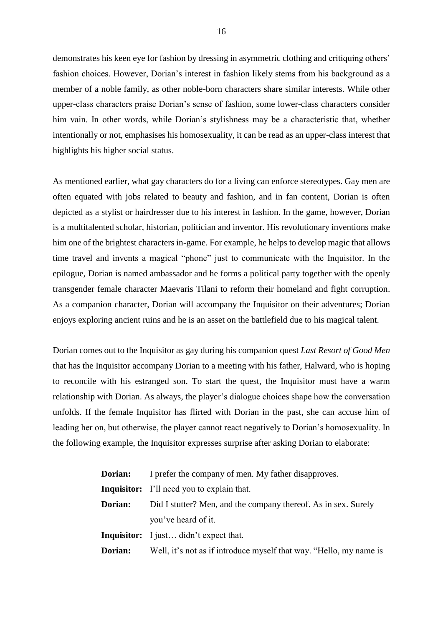demonstrates his keen eye for fashion by dressing in asymmetric clothing and critiquing others' fashion choices. However, Dorian's interest in fashion likely stems from his background as a member of a noble family, as other noble-born characters share similar interests. While other upper-class characters praise Dorian's sense of fashion, some lower-class characters consider him vain. In other words, while Dorian's stylishness may be a characteristic that, whether intentionally or not, emphasises his homosexuality, it can be read as an upper-class interest that highlights his higher social status.

As mentioned earlier, what gay characters do for a living can enforce stereotypes. Gay men are often equated with jobs related to beauty and fashion, and in fan content, Dorian is often depicted as a stylist or hairdresser due to his interest in fashion. In the game, however, Dorian is a multitalented scholar, historian, politician and inventor. His revolutionary inventions make him one of the brightest characters in-game. For example, he helps to develop magic that allows time travel and invents a magical "phone" just to communicate with the Inquisitor. In the epilogue, Dorian is named ambassador and he forms a political party together with the openly transgender female character Maevaris Tilani to reform their homeland and fight corruption. As a companion character, Dorian will accompany the Inquisitor on their adventures; Dorian enjoys exploring ancient ruins and he is an asset on the battlefield due to his magical talent.

Dorian comes out to the Inquisitor as gay during his companion quest *Last Resort of Good Men* that has the Inquisitor accompany Dorian to a meeting with his father, Halward, who is hoping to reconcile with his estranged son. To start the quest, the Inquisitor must have a warm relationship with Dorian. As always, the player's dialogue choices shape how the conversation unfolds. If the female Inquisitor has flirted with Dorian in the past, she can accuse him of leading her on, but otherwise, the player cannot react negatively to Dorian's homosexuality. In the following example, the Inquisitor expresses surprise after asking Dorian to elaborate:

| Dorian: | I prefer the company of men. My father disapproves.                |
|---------|--------------------------------------------------------------------|
|         | <b>Inquisitor:</b> I'll need you to explain that.                  |
| Dorian: | Did I stutter? Men, and the company thereof. As in sex. Surely     |
|         | you've heard of it.                                                |
|         | <b>Inquisitor:</b> I just didn't expect that.                      |
| Dorian: | Well, it's not as if introduce myself that way. "Hello, my name is |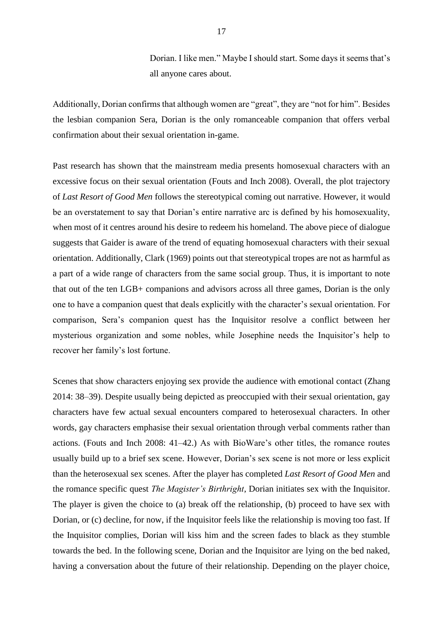Dorian. I like men." Maybe I should start. Some days it seems that's all anyone cares about.

Additionally, Dorian confirms that although women are "great", they are "not for him". Besides the lesbian companion Sera, Dorian is the only romanceable companion that offers verbal confirmation about their sexual orientation in-game.

Past research has shown that the mainstream media presents homosexual characters with an excessive focus on their sexual orientation (Fouts and Inch 2008). Overall, the plot trajectory of *Last Resort of Good Men* follows the stereotypical coming out narrative. However, it would be an overstatement to say that Dorian's entire narrative arc is defined by his homosexuality, when most of it centres around his desire to redeem his homeland. The above piece of dialogue suggests that Gaider is aware of the trend of equating homosexual characters with their sexual orientation. Additionally, Clark (1969) points out that stereotypical tropes are not as harmful as a part of a wide range of characters from the same social group. Thus, it is important to note that out of the ten LGB+ companions and advisors across all three games, Dorian is the only one to have a companion quest that deals explicitly with the character's sexual orientation. For comparison, Sera's companion quest has the Inquisitor resolve a conflict between her mysterious organization and some nobles, while Josephine needs the Inquisitor's help to recover her family's lost fortune.

Scenes that show characters enjoying sex provide the audience with emotional contact (Zhang 2014: 38–39). Despite usually being depicted as preoccupied with their sexual orientation, gay characters have few actual sexual encounters compared to heterosexual characters. In other words, gay characters emphasise their sexual orientation through verbal comments rather than actions. (Fouts and Inch 2008: 41–42.) As with BioWare's other titles, the romance routes usually build up to a brief sex scene. However, Dorian's sex scene is not more or less explicit than the heterosexual sex scenes. After the player has completed *Last Resort of Good Men* and the romance specific quest *The Magister's Birthright*, Dorian initiates sex with the Inquisitor. The player is given the choice to (a) break off the relationship, (b) proceed to have sex with Dorian, or (c) decline, for now, if the Inquisitor feels like the relationship is moving too fast. If the Inquisitor complies, Dorian will kiss him and the screen fades to black as they stumble towards the bed. In the following scene, Dorian and the Inquisitor are lying on the bed naked, having a conversation about the future of their relationship. Depending on the player choice,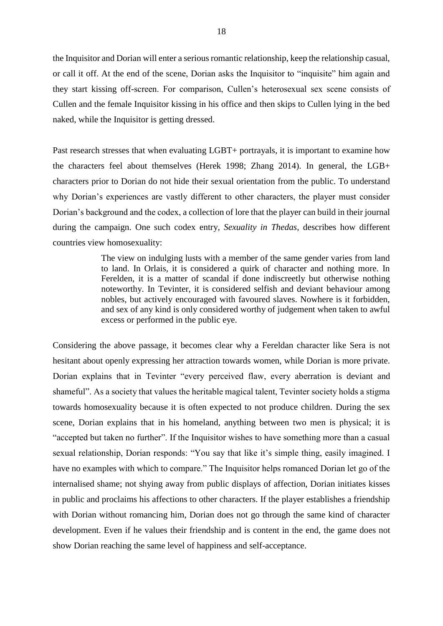the Inquisitor and Dorian will enter a serious romantic relationship, keep the relationship casual, or call it off. At the end of the scene, Dorian asks the Inquisitor to "inquisite" him again and they start kissing off-screen. For comparison, Cullen's heterosexual sex scene consists of Cullen and the female Inquisitor kissing in his office and then skips to Cullen lying in the bed naked, while the Inquisitor is getting dressed.

Past research stresses that when evaluating LGBT+ portrayals, it is important to examine how the characters feel about themselves (Herek 1998; Zhang 2014). In general, the LGB+ characters prior to Dorian do not hide their sexual orientation from the public. To understand why Dorian's experiences are vastly different to other characters, the player must consider Dorian's background and the codex, a collection of lore that the player can build in their journal during the campaign. One such codex entry, *Sexuality in Thedas*, describes how different countries view homosexuality:

> The view on indulging lusts with a member of the same gender varies from land to land. In Orlais, it is considered a quirk of character and nothing more. In Ferelden, it is a matter of scandal if done indiscreetly but otherwise nothing noteworthy. In Tevinter, it is considered selfish and deviant behaviour among nobles, but actively encouraged with favoured slaves. Nowhere is it forbidden, and sex of any kind is only considered worthy of judgement when taken to awful excess or performed in the public eye.

Considering the above passage, it becomes clear why a Fereldan character like Sera is not hesitant about openly expressing her attraction towards women, while Dorian is more private. Dorian explains that in Tevinter "every perceived flaw, every aberration is deviant and shameful". As a society that values the heritable magical talent, Tevinter society holds a stigma towards homosexuality because it is often expected to not produce children. During the sex scene, Dorian explains that in his homeland, anything between two men is physical; it is "accepted but taken no further". If the Inquisitor wishes to have something more than a casual sexual relationship, Dorian responds: "You say that like it's simple thing, easily imagined. I have no examples with which to compare." The Inquisitor helps romanced Dorian let go of the internalised shame; not shying away from public displays of affection, Dorian initiates kisses in public and proclaims his affections to other characters. If the player establishes a friendship with Dorian without romancing him, Dorian does not go through the same kind of character development. Even if he values their friendship and is content in the end, the game does not show Dorian reaching the same level of happiness and self-acceptance.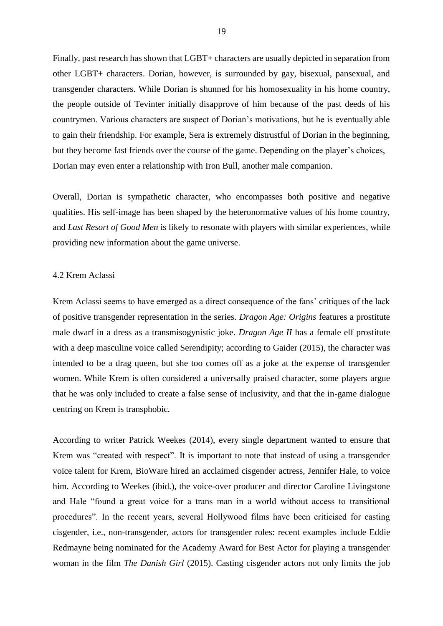Finally, past research has shown that LGBT+ characters are usually depicted in separation from other LGBT+ characters. Dorian, however, is surrounded by gay, bisexual, pansexual, and transgender characters. While Dorian is shunned for his homosexuality in his home country, the people outside of Tevinter initially disapprove of him because of the past deeds of his countrymen. Various characters are suspect of Dorian's motivations, but he is eventually able to gain their friendship. For example, Sera is extremely distrustful of Dorian in the beginning, but they become fast friends over the course of the game. Depending on the player's choices, Dorian may even enter a relationship with Iron Bull, another male companion.

Overall, Dorian is sympathetic character, who encompasses both positive and negative qualities. His self-image has been shaped by the heteronormative values of his home country, and *Last Resort of Good Men* is likely to resonate with players with similar experiences, while providing new information about the game universe.

## 4.2 Krem Aclassi

Krem Aclassi seems to have emerged as a direct consequence of the fans' critiques of the lack of positive transgender representation in the series. *Dragon Age: Origins* features a prostitute male dwarf in a dress as a transmisogynistic joke. *Dragon Age II* has a female elf prostitute with a deep masculine voice called Serendipity; according to Gaider (2015), the character was intended to be a drag queen, but she too comes off as a joke at the expense of transgender women. While Krem is often considered a universally praised character, some players argue that he was only included to create a false sense of inclusivity, and that the in-game dialogue centring on Krem is transphobic.

According to writer Patrick Weekes (2014), every single department wanted to ensure that Krem was "created with respect". It is important to note that instead of using a transgender voice talent for Krem, BioWare hired an acclaimed cisgender actress, Jennifer Hale, to voice him. According to Weekes (ibid.), the voice-over producer and director Caroline Livingstone and Hale "found a great voice for a trans man in a world without access to transitional procedures". In the recent years, several Hollywood films have been criticised for casting cisgender, i.e., non-transgender, actors for transgender roles: recent examples include Eddie Redmayne being nominated for the Academy Award for Best Actor for playing a transgender woman in the film *The Danish Girl* (2015). Casting cisgender actors not only limits the job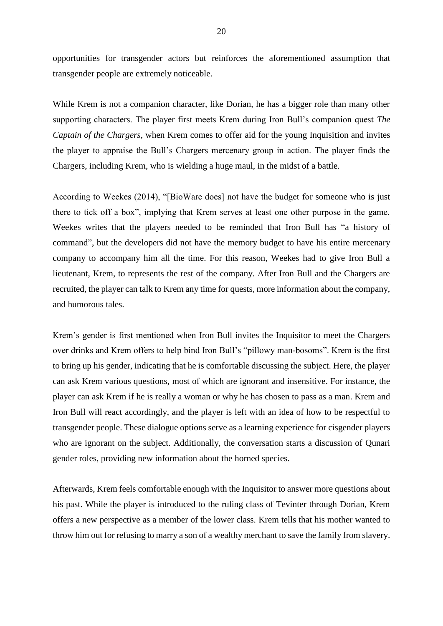opportunities for transgender actors but reinforces the aforementioned assumption that transgender people are extremely noticeable.

While Krem is not a companion character, like Dorian, he has a bigger role than many other supporting characters. The player first meets Krem during Iron Bull's companion quest *The Captain of the Chargers*, when Krem comes to offer aid for the young Inquisition and invites the player to appraise the Bull's Chargers mercenary group in action. The player finds the Chargers, including Krem, who is wielding a huge maul, in the midst of a battle.

According to Weekes (2014), "[BioWare does] not have the budget for someone who is just there to tick off a box", implying that Krem serves at least one other purpose in the game. Weekes writes that the players needed to be reminded that Iron Bull has "a history of command", but the developers did not have the memory budget to have his entire mercenary company to accompany him all the time. For this reason, Weekes had to give Iron Bull a lieutenant, Krem, to represents the rest of the company. After Iron Bull and the Chargers are recruited, the player can talk to Krem any time for quests, more information about the company, and humorous tales.

Krem's gender is first mentioned when Iron Bull invites the Inquisitor to meet the Chargers over drinks and Krem offers to help bind Iron Bull's "pillowy man-bosoms". Krem is the first to bring up his gender, indicating that he is comfortable discussing the subject. Here, the player can ask Krem various questions, most of which are ignorant and insensitive. For instance, the player can ask Krem if he is really a woman or why he has chosen to pass as a man. Krem and Iron Bull will react accordingly, and the player is left with an idea of how to be respectful to transgender people. These dialogue options serve as a learning experience for cisgender players who are ignorant on the subject. Additionally, the conversation starts a discussion of Qunari gender roles, providing new information about the horned species.

Afterwards, Krem feels comfortable enough with the Inquisitor to answer more questions about his past. While the player is introduced to the ruling class of Tevinter through Dorian, Krem offers a new perspective as a member of the lower class. Krem tells that his mother wanted to throw him out for refusing to marry a son of a wealthy merchant to save the family from slavery.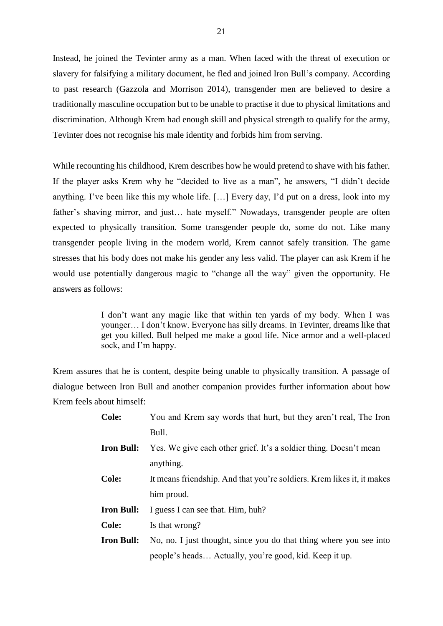Instead, he joined the Tevinter army as a man. When faced with the threat of execution or slavery for falsifying a military document, he fled and joined Iron Bull's company. According to past research (Gazzola and Morrison 2014), transgender men are believed to desire a traditionally masculine occupation but to be unable to practise it due to physical limitations and discrimination. Although Krem had enough skill and physical strength to qualify for the army, Tevinter does not recognise his male identity and forbids him from serving.

While recounting his childhood, Krem describes how he would pretend to shave with his father. If the player asks Krem why he "decided to live as a man", he answers, "I didn't decide anything. I've been like this my whole life. […] Every day, I'd put on a dress, look into my father's shaving mirror, and just… hate myself." Nowadays, transgender people are often expected to physically transition. Some transgender people do, some do not. Like many transgender people living in the modern world, Krem cannot safely transition. The game stresses that his body does not make his gender any less valid. The player can ask Krem if he would use potentially dangerous magic to "change all the way" given the opportunity. He answers as follows:

> I don't want any magic like that within ten yards of my body. When I was younger… I don't know. Everyone has silly dreams. In Tevinter, dreams like that get you killed. Bull helped me make a good life. Nice armor and a well-placed sock, and I'm happy.

Krem assures that he is content, despite being unable to physically transition. A passage of dialogue between Iron Bull and another companion provides further information about how Krem feels about himself:

| <b>Cole:</b>      | You and Krem say words that hurt, but they aren't real, The Iron       |
|-------------------|------------------------------------------------------------------------|
|                   | Bull.                                                                  |
| <b>Iron Bull:</b> | Yes. We give each other grief. It's a soldier thing. Doesn't mean      |
|                   | anything.                                                              |
| <b>Cole:</b>      | It means friendship. And that you're soldiers. Krem likes it, it makes |
|                   | him proud.                                                             |
| <b>Iron Bull:</b> | I guess I can see that. Him, huh?                                      |
| <b>Cole:</b>      | Is that wrong?                                                         |
| <b>Iron Bull:</b> | No, no. I just thought, since you do that thing where you see into     |
|                   | people's heads Actually, you're good, kid. Keep it up.                 |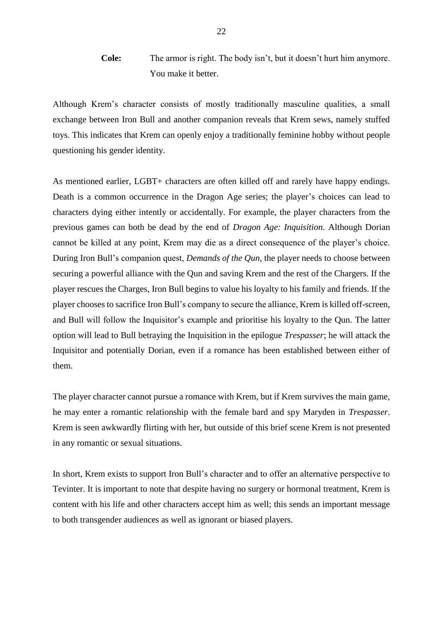**Cole:** The armor is right. The body isn't, but it doesn't hurt him anymore. You make it better.

Although Krem's character consists of mostly traditionally masculine qualities, a small exchange between Iron Bull and another companion reveals that Krem sews, namely stuffed toys. This indicates that Krem can openly enjoy a traditionally feminine hobby without people questioning his gender identity.

As mentioned earlier, LGBT+ characters are often killed off and rarely have happy endings. Death is a common occurrence in the Dragon Age series; the player's choices can lead to characters dying either intently or accidentally. For example, the player characters from the previous games can both be dead by the end of *Dragon Age: Inquisition*. Although Dorian cannot be killed at any point, Krem may die as a direct consequence of the player's choice. During Iron Bull's companion quest, *Demands of the Qun*, the player needs to choose between securing a powerful alliance with the Qun and saving Krem and the rest of the Chargers. If the player rescues the Charges, Iron Bull begins to value his loyalty to his family and friends. If the player chooses to sacrifice Iron Bull's company to secure the alliance, Krem is killed off-screen, and Bull will follow the Inquisitor's example and prioritise his loyalty to the Qun. The latter option will lead to Bull betraying the Inquisition in the epilogue *Trespasser*; he will attack the Inquisitor and potentially Dorian, even if a romance has been established between either of them.

The player character cannot pursue a romance with Krem, but if Krem survives the main game, he may enter a romantic relationship with the female bard and spy Maryden in *Trespasser*. Krem is seen awkwardly flirting with her, but outside of this brief scene Krem is not presented in any romantic or sexual situations.

In short, Krem exists to support Iron Bull's character and to offer an alternative perspective to Tevinter. It is important to note that despite having no surgery or hormonal treatment, Krem is content with his life and other characters accept him as well; this sends an important message to both transgender audiences as well as ignorant or biased players.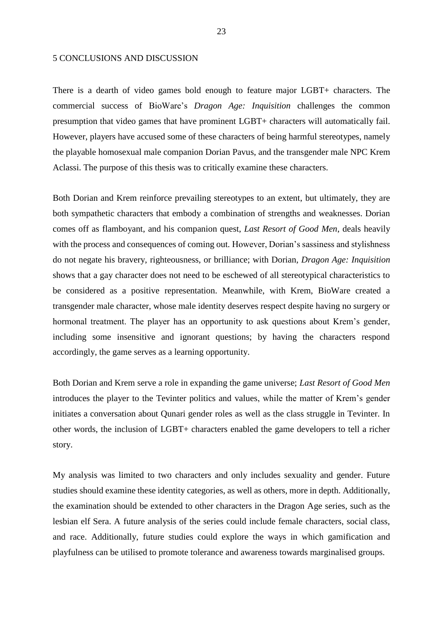#### 5 CONCLUSIONS AND DISCUSSION

There is a dearth of video games bold enough to feature major LGBT+ characters. The commercial success of BioWare's *Dragon Age: Inquisition* challenges the common presumption that video games that have prominent LGBT+ characters will automatically fail. However, players have accused some of these characters of being harmful stereotypes, namely the playable homosexual male companion Dorian Pavus, and the transgender male NPC Krem Aclassi. The purpose of this thesis was to critically examine these characters.

Both Dorian and Krem reinforce prevailing stereotypes to an extent, but ultimately, they are both sympathetic characters that embody a combination of strengths and weaknesses. Dorian comes off as flamboyant, and his companion quest, *Last Resort of Good Men*, deals heavily with the process and consequences of coming out. However, Dorian's sassiness and stylishness do not negate his bravery, righteousness, or brilliance; with Dorian, *Dragon Age: Inquisition* shows that a gay character does not need to be eschewed of all stereotypical characteristics to be considered as a positive representation. Meanwhile, with Krem, BioWare created a transgender male character, whose male identity deserves respect despite having no surgery or hormonal treatment. The player has an opportunity to ask questions about Krem's gender, including some insensitive and ignorant questions; by having the characters respond accordingly, the game serves as a learning opportunity.

Both Dorian and Krem serve a role in expanding the game universe; *Last Resort of Good Men* introduces the player to the Tevinter politics and values, while the matter of Krem's gender initiates a conversation about Qunari gender roles as well as the class struggle in Tevinter. In other words, the inclusion of LGBT+ characters enabled the game developers to tell a richer story.

My analysis was limited to two characters and only includes sexuality and gender. Future studies should examine these identity categories, as well as others, more in depth. Additionally, the examination should be extended to other characters in the Dragon Age series, such as the lesbian elf Sera. A future analysis of the series could include female characters, social class, and race. Additionally, future studies could explore the ways in which gamification and playfulness can be utilised to promote tolerance and awareness towards marginalised groups.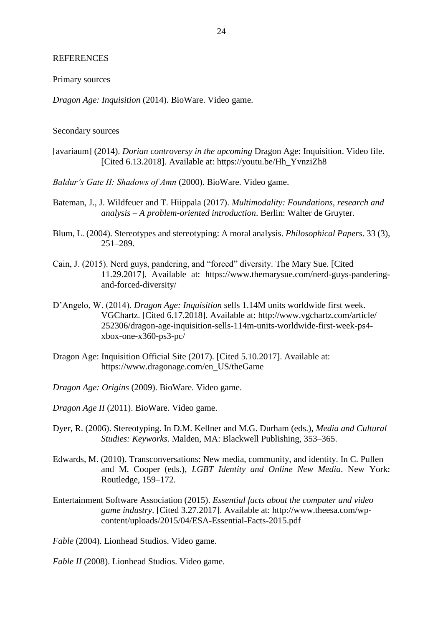#### REFERENCES

Primary sources

*Dragon Age: Inquisition* (2014). BioWare. Video game.

#### Secondary sources

- [avariaum] (2014). *Dorian controversy in the upcoming* Dragon Age: Inquisition. Video file. [Cited 6.13.2018]. Available at: https://youtu.be/Hh\_YvnziZh8
- *Baldur's Gate II: Shadows of Amn* (2000). BioWare. Video game.
- Bateman, J., J. Wildfeuer and T. Hiippala (2017). *Multimodality: Foundations, research and analysis – A problem-oriented introduction*. Berlin: Walter de Gruyter.
- Blum, L. (2004). Stereotypes and stereotyping: A moral analysis. *Philosophical Papers*. 33 (3), 251–289.
- Cain, J. (2015). Nerd guys, pandering, and "forced" diversity. The Mary Sue. [Cited 11.29.2017]. Available at: https://www.themarysue.com/nerd-guys-panderingand-forced-diversity/
- D'Angelo, W. (2014). *Dragon Age: Inquisition* sells 1.14M units worldwide first week. VGChartz. [Cited 6.17.2018]. Available at: http://www.vgchartz.com/article/ 252306/dragon-age-inquisition-sells-114m-units-worldwide-first-week-ps4 xbox-one-x360-ps3-pc/
- Dragon Age: Inquisition Official Site (2017). [Cited 5.10.2017]. Available at: https://www.dragonage.com/en\_US/theGame
- *Dragon Age: Origins* (2009). BioWare. Video game.
- *Dragon Age II* (2011). BioWare. Video game.
- Dyer, R. (2006). Stereotyping. In D.M. Kellner and M.G. Durham (eds.), *Media and Cultural Studies: Keyworks*. Malden, MA: Blackwell Publishing, 353–365.
- Edwards, M. (2010). Transconversations: New media, community, and identity. In C. Pullen and M. Cooper (eds.), *LGBT Identity and Online New Media*. New York: Routledge, 159–172.
- Entertainment Software Association (2015). *Essential facts about the computer and video game industry*. [Cited 3.27.2017]. Available at: http://www.theesa.com/wpcontent/uploads/2015/04/ESA-Essential-Facts-2015.pdf

*Fable* (2004). Lionhead Studios. Video game.

*Fable II* (2008). Lionhead Studios. Video game.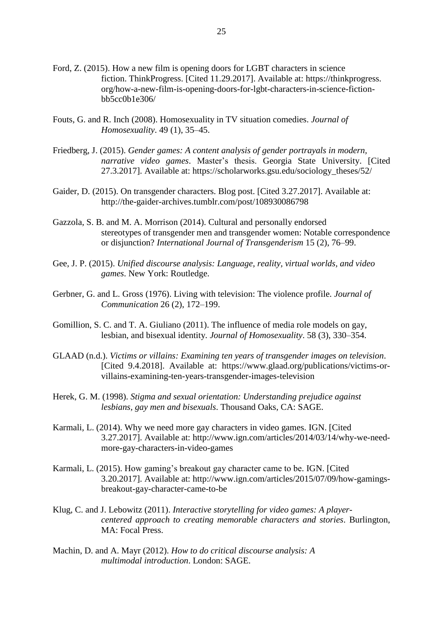- Ford, Z. (2015). How a new film is opening doors for LGBT characters in science fiction. ThinkProgress. [Cited 11.29.2017]. Available at: https://thinkprogress. org/how-a-new-film-is-opening-doors-for-lgbt-characters-in-science-fictionbb5cc0b1e306/
- Fouts, G. and R. Inch (2008). Homosexuality in TV situation comedies. *Journal of Homosexuality*. 49 (1), 35–45.
- Friedberg, J. (2015). *Gender games: A content analysis of gender portrayals in modern, narrative video games*. Master's thesis. Georgia State University. [Cited 27.3.2017]. Available at: https://scholarworks.gsu.edu/sociology\_theses/52/
- Gaider, D. (2015). On transgender characters. Blog post. [Cited 3.27.2017]. Available at: http://the-gaider-archives.tumblr.com/post/108930086798
- Gazzola, S. B. and M. A. Morrison (2014). Cultural and personally endorsed stereotypes of transgender men and transgender women: Notable correspondence or disjunction? *International Journal of Transgenderism* 15 (2), 76–99.
- Gee, J. P. (2015). *Unified discourse analysis: Language, reality, virtual worlds, and video games*. New York: Routledge.
- Gerbner, G. and L. Gross (1976). Living with television: The violence profile. *Journal of Communication* 26 (2), 172–199.
- Gomillion, S. C. and T. A. Giuliano (2011). The influence of media role models on gay, lesbian, and bisexual identity. *Journal of Homosexuality*. 58 (3), 330–354.
- GLAAD (n.d.). *Victims or villains: Examining ten years of transgender images on television*. [Cited 9.4.2018]. Available at: https://www.glaad.org/publications/victims-orvillains-examining-ten-years-transgender-images-television
- Herek, G. M. (1998). *Stigma and sexual orientation: Understanding prejudice against lesbians, gay men and bisexuals*. Thousand Oaks, CA: SAGE.
- Karmali, L. (2014). Why we need more gay characters in video games. IGN. [Cited 3.27.2017]. Available at: http://www.ign.com/articles/2014/03/14/why-we-needmore-gay-characters-in-video-games
- Karmali, L. (2015). How gaming's breakout gay character came to be. IGN. [Cited 3.20.2017]. Available at: http://www.ign.com/articles/2015/07/09/how-gamingsbreakout-gay-character-came-to-be
- Klug, C. and J. Lebowitz (2011). *Interactive storytelling for video games: A playercentered approach to creating memorable characters and stories*. Burlington, MA: Focal Press.
- Machin, D. and A. Mayr (2012). *How to do critical discourse analysis: A multimodal introduction*. London: SAGE.